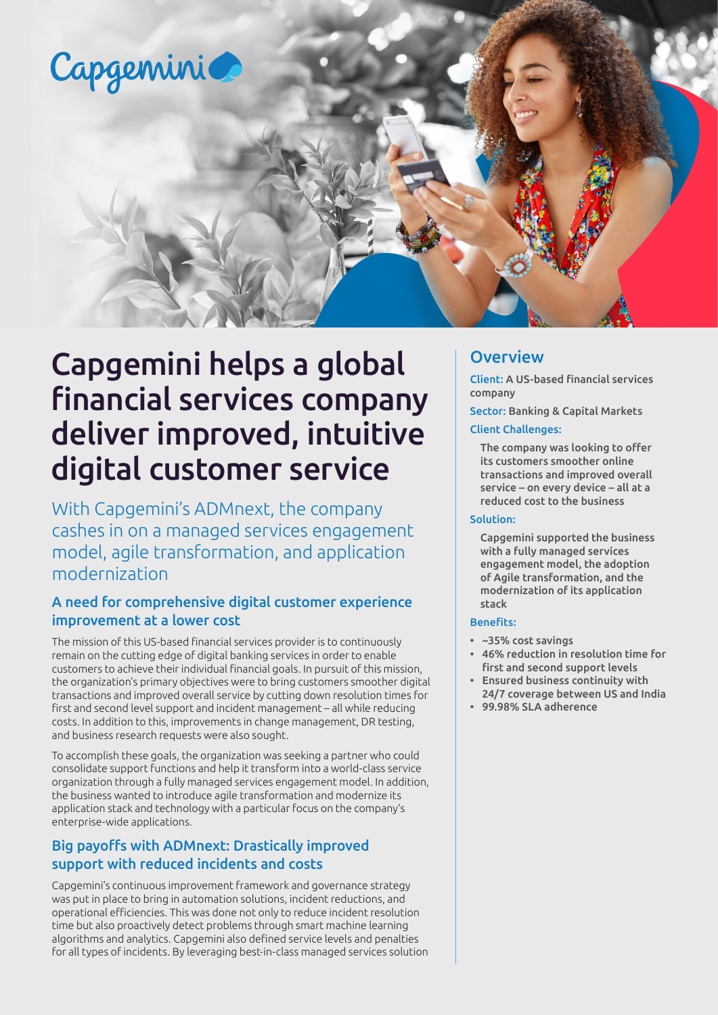

# Capgemini helps a global financial services company deliver improved, intuitive digital customer service

With Capgemini's ADMnext, the company cashes in on a managed services engagement model, agile transformation, and application modernization

# A need for comprehensive digital customer experience improvement at a lower cost

The mission of this US-based financial services provider is to continuously remain on the cutting edge of digital banking services in order to enable customers to achieve their individual financial goals. In pursuit of this mission, the organization's primary objectives were to bring customers smoother digital transactions and improved overall service by cutting down resolution times for first and second level support and incident management – all while reducing costs. In addition to this, improvements in change management, DR testing, and business research requests were also sought.

To accomplish these goals, the organization was seeking a partner who could consolidate support functions and help it transform into a world-class service organization through a fully managed services engagement model. In addition, the business wanted to introduce agile transformation and modernize its application stack and technology with a particular focus on the company's enterprise-wide applications.

# Big payoffs with ADMnext: Drastically improved support with reduced incidents and costs

Capgemini's continuous improvement framework and governance strategy was put in place to bring in automation solutions, incident reductions, and operational efficiencies. This was done not only to reduce incident resolution time but also proactively detect problems through smart machine learning algorithms and analytics. Capgemini also defined service levels and penalties for all types of incidents. By leveraging best-in-class managed services solution

# **Overview**

Client: A US-based financial services company

Sector: Banking & Capital Markets

#### Client Challenges:

The company was looking to offer its customers smoother online transactions and improved overall service – on every device – all at a reduced cost to the business

#### Solution:

Capgemini supported the business with a fully managed services engagement model, the adoption of Agile transformation, and the modernization of its application stack

#### Benefits:

- ~35% cost savings
- 46% reduction in resolution time for first and second support levels
- Ensured business continuity with 24/7 coverage between US and India
- 99.98% SLA adherence